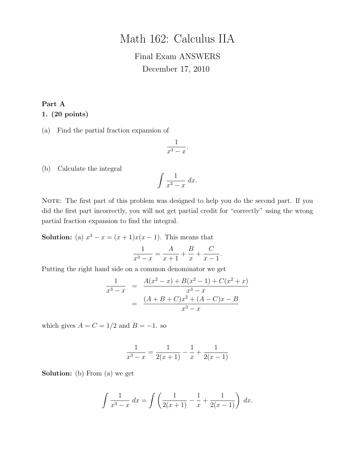# Math 162: Calculus IIA

# Final Exam ANSWERS December 17, 2010

#### Part A

#### 1. (20 points)

(a) Find the partial fraction expansion of

$$
\frac{1}{x^3-x}.
$$

(b) Calculate the integral

$$
\int \frac{1}{x^3 - x} \, dx.
$$

NOTE: The first part of this problem was designed to help you do the second part. If you did the first part incorrectly, you will not get partial credit for "correctly" using the wrong partial fraction expansion to find the integral.

**Solution:** (a)  $x^3 - x = (x+1)x(x-1)$ . This means that

$$
\frac{1}{x^3 - x} = \frac{A}{x + 1} + \frac{B}{x} + \frac{C}{x - 1}.
$$

Putting the right hand side on a common denominator we get

$$
\frac{1}{x^3 - x} = \frac{A(x^2 - x) + B(x^2 - 1) + C(x^2 + x)}{x^3 - x}
$$

$$
= \frac{(A + B + C)x^2 + (A - C)x - B}{x^3 - x}
$$

which gives  $A = C = 1/2$  and  $B = -1$ . so

$$
\frac{1}{x^3 - x} = \frac{1}{2(x+1)} - \frac{1}{x} + \frac{1}{2(x-1)}
$$

Solution: (b) From (a) we get

$$
\int \frac{1}{x^3 - x} dx = \int \left( \frac{1}{2(x+1)} - \frac{1}{x} + \frac{1}{2(x-1)} \right) dx.
$$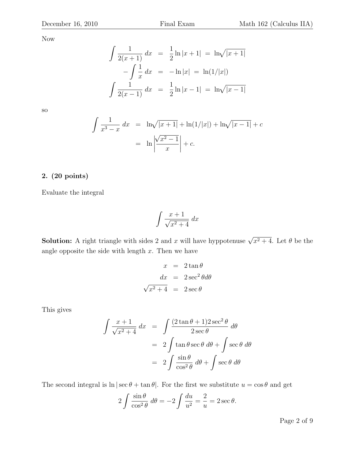Now

$$
\int \frac{1}{2(x+1)} dx = \frac{1}{2} \ln|x+1| = \ln \sqrt{|x+1|}
$$

$$
-\int \frac{1}{x} dx = -\ln|x| = \ln(1/|x|)
$$

$$
\int \frac{1}{2(x-1)} dx = \frac{1}{2} \ln|x-1| = \ln \sqrt{|x-1|}
$$

so

$$
\int \frac{1}{x^3 - x} dx = \ln\sqrt{|x + 1|} + \ln(1/|x|) + \ln\sqrt{|x - 1|} + c
$$
  
=  $\ln\left|\frac{\sqrt{x^2 - 1}}{x}\right| + c$ .

# 2. (20 points)

Evaluate the integral

$$
\int \frac{x+1}{\sqrt{x^2+4}} \, dx
$$

**Solution:** A right triangle with sides 2 and x will have hyppotenuse  $\sqrt{x^2 + 4}$ . Let  $\theta$  be the angle opposite the side with length  $x$ . Then we have

$$
x = 2 \tan \theta
$$

$$
dx = 2 \sec^2 \theta d\theta
$$

$$
\sqrt{x^2 + 4} = 2 \sec \theta
$$

This gives

$$
\int \frac{x+1}{\sqrt{x^2+4}} dx = \int \frac{(2 \tan \theta + 1)2 \sec^2 \theta}{2 \sec \theta} d\theta
$$

$$
= 2 \int \tan \theta \sec \theta d\theta + \int \sec \theta d\theta
$$

$$
= 2 \int \frac{\sin \theta}{\cos^2 \theta} d\theta + \int \sec \theta d\theta
$$

The second integral is  $\ln |\sec \theta + \tan \theta|$ . For the first we substitute  $u = \cos \theta$  and get

$$
2\int \frac{\sin \theta}{\cos^2 \theta} \, d\theta = -2\int \frac{du}{u^2} = \frac{2}{u} = 2 \sec \theta.
$$

Page 2 of 9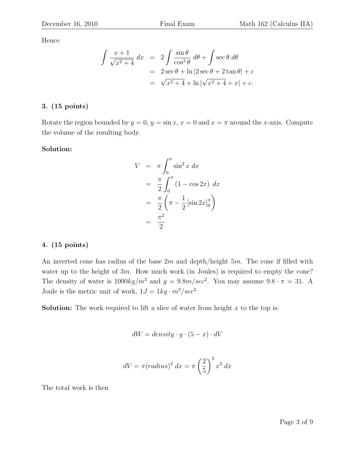Hence

$$
\int \frac{x+1}{\sqrt{x^2+4}} dx = 2 \int \frac{\sin \theta}{\cos^2 \theta} d\theta + \int \sec \theta d\theta
$$
  
= 2 \sec \theta + \ln |2 \sec \theta + 2 \tan \theta| + c  
=  $\sqrt{x^2+4} + \ln |\sqrt{x^2+4} + x| + c$ .

# 3. (15 points)

Rotate the region bounded by  $y = 0$ ,  $y = \sin x$ ,  $x = 0$  and  $x = \pi$  around the x-axis. Compute the volume of the resulting body.

#### Solution:

$$
V = \pi \int_0^{\pi} \sin^2 x \, dx
$$
  
=  $\frac{\pi}{2} \int_0^{\pi} (1 - \cos 2x) \, dx$   
=  $\frac{\pi}{2} \left( \pi - \frac{1}{2} \left[ \sin 2x \right]_0^{\pi} \right)$   
=  $\frac{\pi^2}{2}$ 

### 4. (15 points)

An inverted cone has radius of the base  $2m$  and depth/height  $5m$ . The cone if filled with water up to the height of 3m. How much work (in Joules) is required to empty the cone? The density of water is  $1000 kg/m^3$  and  $g = 9.8 m/sec^2$ . You may assume  $9.8 \cdot \pi = 31$ . A Joule is the metric unit of work,  $1J = 1kg \cdot m^2/sec^2$ 

**Solution:** The work required to lift a slice of water from height  $x$  to the top is:

$$
dW = density \cdot g \cdot (5 - x) \cdot dV
$$

$$
dV = \pi (radius)^2 dx = \pi \left(\frac{2}{5}\right)^2 x^2 dx
$$

The total work is then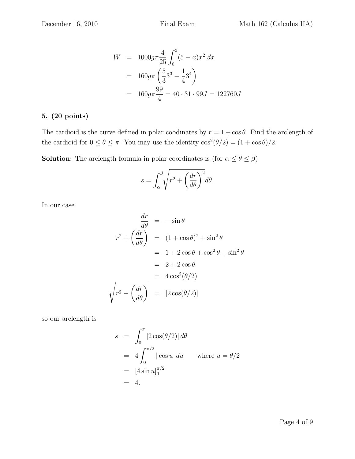$$
W = 1000g\pi \frac{4}{25} \int_0^3 (5 - x)x^2 dx
$$
  
=  $160g\pi \left(\frac{5}{3}3^3 - \frac{1}{4}3^4\right)$   
=  $160g\pi \frac{99}{4} = 40 \cdot 31 \cdot 99J = 122760J$ 

#### 5. (20 points)

The cardioid is the curve defined in polar coodinates by  $r = 1 + \cos \theta$ . Find the arclength of the cardioid for  $0 \le \theta \le \pi$ . You may use the identity  $\cos^2(\theta/2) = (1 + \cos \theta)/2$ .

**Solution:** The arclength formula in polar coordinates is (for  $\alpha \le \theta \le \beta$ )

$$
s = \int_{\alpha}^{\beta} \sqrt{r^2 + \left(\frac{dr}{d\theta}\right)^2} d\theta.
$$

In our case

$$
\frac{dr}{d\theta} = -\sin\theta
$$
  

$$
r^2 + \left(\frac{dr}{d\theta}\right) = (1 + \cos\theta)^2 + \sin^2\theta
$$
  

$$
= 1 + 2\cos\theta + \cos^2\theta + \sin^2\theta
$$
  

$$
= 2 + 2\cos\theta
$$
  

$$
= 4\cos^2(\theta/2)
$$
  

$$
\sqrt{r^2 + \left(\frac{dr}{d\theta}\right)} = |2\cos(\theta/2)|
$$

so our arclength is

$$
s = \int_0^{\pi} |2\cos(\theta/2)| d\theta
$$
  
=  $4 \int_0^{\pi/2} |\cos u| du$  where  $u = \theta/2$   
=  $[4 \sin u]_0^{\pi/2}$   
= 4.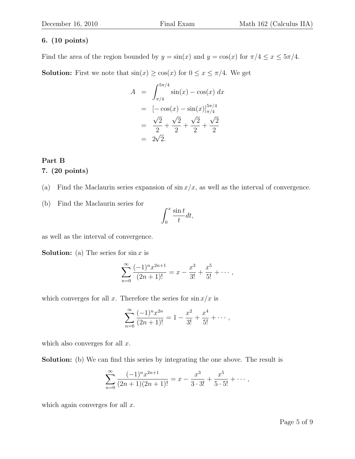#### 6. (10 points)

Find the area of the region bounded by  $y = \sin(x)$  and  $y = \cos(x)$  for  $\pi/4 \le x \le 5\pi/4$ . **Solution:** First we note that  $\sin(x) \ge \cos(x)$  for  $0 \le x \le \pi/4$ . We get

$$
A = \int_{\pi/4}^{5\pi/4} \sin(x) - \cos(x) dx
$$
  
=  $[-\cos(x) - \sin(x)]_{\pi/4}^{5\pi/4}$   
=  $\frac{\sqrt{2}}{2} + \frac{\sqrt{2}}{2} + \frac{\sqrt{2}}{2} + \frac{\sqrt{2}}{2}$   
=  $2\sqrt{2}$ .

# Part B 7. (20 points)

(a) Find the Maclaurin series expansion of  $\sin x/x$ , as well as the interval of convergence.

(b) Find the Maclaurin series for

$$
\int_0^x \frac{\sin t}{t} dt,
$$

as well as the interval of convergence.

**Solution:** (a) The series for  $\sin x$  is

$$
\sum_{n=0}^{\infty} \frac{(-1)^n x^{2n+1}}{(2n+1)!} = x - \frac{x^3}{3!} + \frac{x^5}{5!} + \cdots,
$$

which converges for all x. Therefore the series for  $\sin x/x$  is

$$
\sum_{n=0}^{\infty} \frac{(-1)^n x^{2n}}{(2n+1)!} = 1 - \frac{x^2}{3!} + \frac{x^4}{5!} + \cdots,
$$

which also converges for all  $x$ .

Solution: (b) We can find this series by integrating the one above. The result is

$$
\sum_{n=0}^{\infty} \frac{(-1)^n x^{2n+1}}{(2n+1)(2n+1)!} = x - \frac{x^3}{3 \cdot 3!} + \frac{x^5}{5 \cdot 5!} + \cdots,
$$

which again converges for all  $x$ .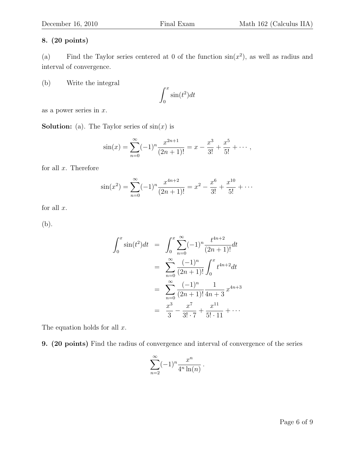### 8. (20 points)

(a) Find the Taylor series centered at 0 of the function  $sin(x^2)$ , as well as radius and interval of convergence.

(b) Write the integral

$$
\int_0^x \sin(t^2)dt
$$

as a power series in  $x$ .

**Solution:** (a). The Taylor series of  $sin(x)$  is

$$
\sin(x) = \sum_{n=0}^{\infty} (-1)^n \frac{x^{2n+1}}{(2n+1)!} = x - \frac{x^3}{3!} + \frac{x^5}{5!} + \cdots,
$$

for all  $x$ . Therefore

$$
\sin(x^2) = \sum_{n=0}^{\infty} (-1)^n \frac{x^{4n+2}}{(2n+1)!} = x^2 - \frac{x^6}{3!} + \frac{x^{10}}{5!} + \cdots
$$

for all  $x$ .

(b).

$$
\int_0^x \sin(t^2) dt = \int_0^x \sum_{n=0}^\infty (-1)^n \frac{t^{4n+2}}{(2n+1)!} dt
$$
  
= 
$$
\sum_{n=0}^\infty \frac{(-1)^n}{(2n+1)!} \int_0^x t^{4n+2} dt
$$
  
= 
$$
\sum_{n=0}^\infty \frac{(-1)^n}{(2n+1)!} \frac{1}{4n+3} x^{4n+3}
$$
  
= 
$$
\frac{x^3}{3} - \frac{x^7}{3! \cdot 7} + \frac{x^{11}}{5! \cdot 11} + \cdots
$$

The equation holds for all  $x$ .

9. (20 points) Find the radius of convergence and interval of convergence of the series

$$
\sum_{n=2}^{\infty} (-1)^n \frac{x^n}{4^n \ln(n)}.
$$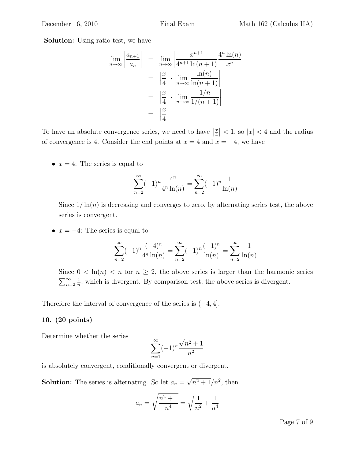Solution: Using ratio test, we have

$$
\lim_{n \to \infty} \left| \frac{a_{n+1}}{a_n} \right| = \lim_{n \to \infty} \left| \frac{x^{n+1}}{4^{n+1} \ln(n+1)} \frac{4^n \ln(n)}{x^n} \right|
$$

$$
= \left| \frac{x}{4} \right| \cdot \left| \lim_{n \to \infty} \frac{\ln(n)}{\ln(n+1)} \right|
$$

$$
= \left| \frac{x}{4} \right| \cdot \left| \lim_{n \to \infty} \frac{1/n}{1/(n+1)} \right|
$$

$$
= \left| \frac{x}{4} \right|
$$

To have an absolute convergence series, we need to have  $\left|\frac{x}{4}\right| < 1$ , so  $|x| < 4$  and the radius of convergence is 4. Consider the end points at  $x = 4$  and  $x = -4$ , we have

•  $x = 4$ : The series is equal to

$$
\sum_{n=2}^{\infty} (-1)^n \frac{4^n}{4^n \ln(n)} = \sum_{n=2}^{\infty} (-1)^n \frac{1}{\ln(n)}
$$

Since  $1/\ln(n)$  is decreasing and converges to zero, by alternating series test, the above series is convergent.

•  $x = -4$ : The series is equal to

$$
\sum_{n=2}^{\infty} (-1)^n \frac{(-4)^n}{4^n \ln(n)} = \sum_{n=2}^{\infty} (-1)^n \frac{(-1)^n}{\ln(n)} = \sum_{n=2}^{\infty} \frac{1}{\ln(n)}
$$

Since  $0 < \ln(n) < n$  for  $n \geq 2$ , the above series is larger than the harmonic series  $\sum_{n=2}^{\infty}$ 1  $\frac{1}{n}$ , which is divergent. By comparison test, the above series is divergent.

Therefore the interval of convergence of the series is  $(-4, 4]$ .

#### 10. (20 points)

Determine whether the series

$$
\sum_{n=1}^{\infty} (-1)^n \frac{\sqrt{n^2 + 1}}{n^2}
$$

is absolutely convergent, conditionally convergent or divergent.

**Solution:** The series is alternating. So let  $a_n =$ √  $\sqrt{n^2+1}/n^2$ , then

$$
a_n = \sqrt{\frac{n^2 + 1}{n^4}} = \sqrt{\frac{1}{n^2} + \frac{1}{n^4}}
$$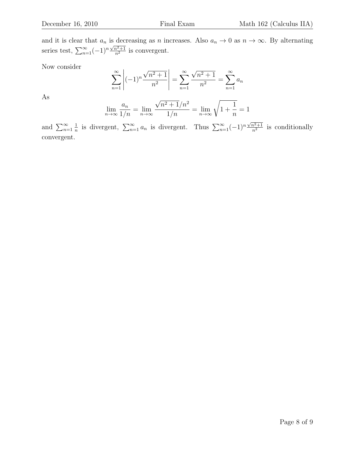and it is clear that  $a_n$  is decreasing as n increases. Also  $a_n \to 0$  as  $n \to \infty$ . By alternating series test,  $\sum_{n=1}^{\infty}(-1)^n\frac{\sqrt{n^2+1}}{n^2}$  $\frac{n^2+1}{n^2}$  is convergent.

Now consider

$$
\sum_{n=1}^{\infty} \left| (-1)^n \frac{\sqrt{n^2 + 1}}{n^2} \right| = \sum_{n=1}^{\infty} \frac{\sqrt{n^2 + 1}}{n^2} = \sum_{n=1}^{\infty} a_n
$$

As

$$
\lim_{n \to \infty} \frac{a_n}{1/n} = \lim_{n \to \infty} \frac{\sqrt{n^2 + 1}/n^2}{1/n} = \lim_{n \to \infty} \sqrt{1 + \frac{1}{n}} = 1
$$

and  $\sum_{n=1}^{\infty}$ 1  $\frac{1}{n}$  is divergent,  $\sum_{n=1}^{\infty} a_n$  is divergent. Thus  $\sum_{n=1}^{\infty} (-1)^n \frac{\sqrt{n^2+1}}{n^2}$  $\frac{n^2+1}{n^2}$  is conditionally convergent.